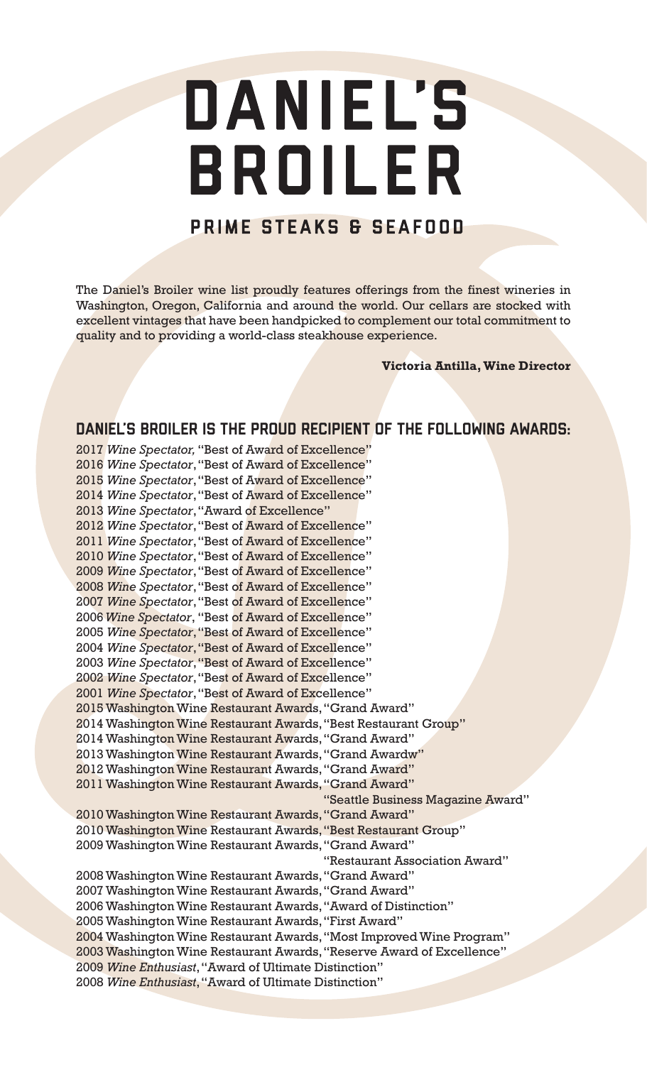# DANIEL'S BROILER

# PRIME STEAKS & SEAFOOD

The Daniel's Broiler wine list proudly features offerings from the finest wineries in Washington, Oregon, California and around the world. Our cellars are stocked with excellent vintages that have been handpicked to complement our total commitment to quality and to providing a world-class steakhouse experience.

**Victoria Antilla, Wine Director**

# DANIEL'S BROILER IS THE PROUD RECIPIENT OF THE FOLLOWING AWARDS:

2017 *Wine Spectator,* "Best of Award of Excellence" 2016 *Wine Spectator*,"Best of Award of Excellence" 2015 *Wine Spectator*,"Best of Award of Excellence" 2014 *Wine Spectator*,"Best of Award of Excellence" 2013 *Wine Spectator*,"Award of Excellence" 2012 *Wine Spectator*,"Best of Award of Excellence" 2011 *Wine Spectator*,"Best of Award of Excellence" 2010 *Wine Spectator*,"Best of Award of Excellence" 2009 *Wine Spectator*,"Best of Award of Excellence" 2008 *Wine Spectator*,"Best of Award of Excellence" 2007 *Wine Spectator*,"Best of Award of Excellence" 2006 *Wine Spectator*, "Best of Award of Excellence" 2005 *Wine Spectator*,"Best of Award of Excellence" 2004 *Wine Spectator*,"Best of Award of Excellence" 2003 *Wine Spectator*,"Best of Award of Excellence" 2002 *Wine Spectator*,"Best of Award of Excellence" 2001 *Wine Spectator*,"Best of Award of Excellence" 2015 Washington Wine Restaurant Awards, "Grand Award" 2014 Washington Wine Restaurant Awards, "Best Restaurant Group" 2014 Washington Wine Restaurant Awards, "Grand Award" 2013 Washington Wine Restaurant Awards, "Grand Awardw" 2012 Washington Wine Restaurant Awards, "Grand Award" 2011 Washington Wine Restaurant Awards, "Grand Award" "Seattle Business Magazine Award" 2010 Washington Wine Restaurant Awards, "Grand Award" 2010 Washington Wine Restaurant Awards, "Best Restaurant Group" 2009 Washington Wine Restaurant Awards, "Grand Award" "Restaurant Association Award" 2008 Washington Wine Restaurant Awards, "Grand Award" 2007 Washington Wine Restaurant Awards, "Grand Award" 2006 Washington Wine Restaurant Awards, "Award of Distinction" 2005 Washington Wine Restaurant Awards, "First Award" 2004 Washington Wine Restaurant Awards, "Most Improved Wine Program" 2003 Washington Wine Restaurant Awards, "Reserve Award of Excellence" 2009 *Wine Enthusiast*, "Award of Ultimate Distinction" 2008 *Wine Enthusiast*, "Award of Ultimate Distinction"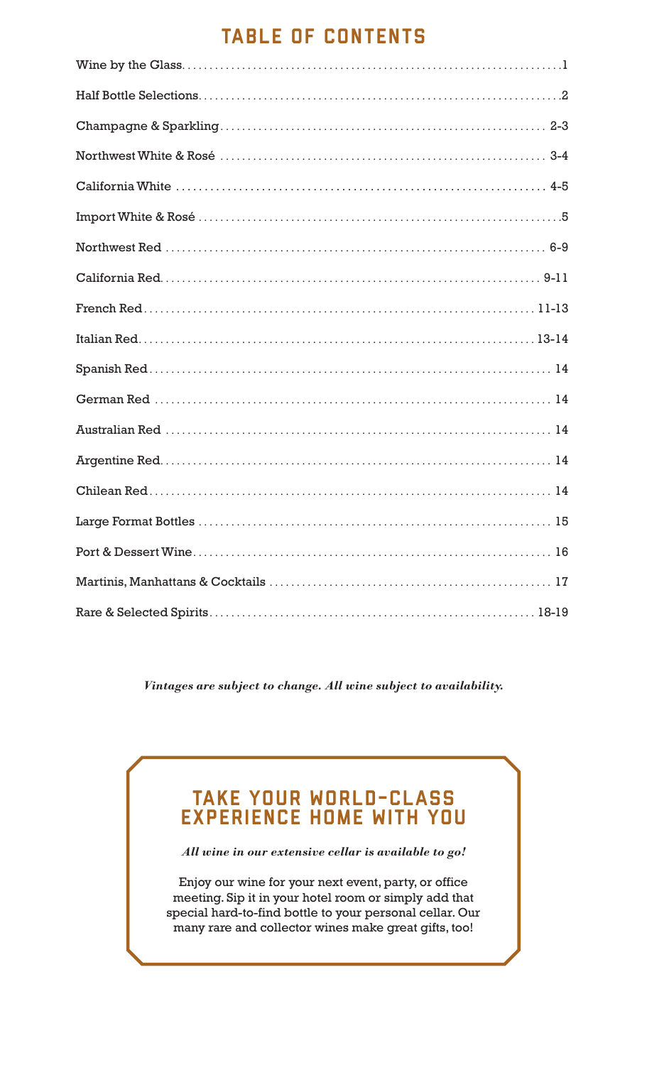# TABLE OF CONTENTS

*Vintages are subject to change. All wine subject to availability.*

# TAKE YOUR WORLD-CLASS EXPERIENCE HOME WITH YOU

*All wine in our extensive cellar is available to go!*

Enjoy our wine for your next event, party, or office meeting. Sip it in your hotel room or simply add that special hard-to-find bottle to your personal cellar. Our many rare and collector wines make great gifts, too!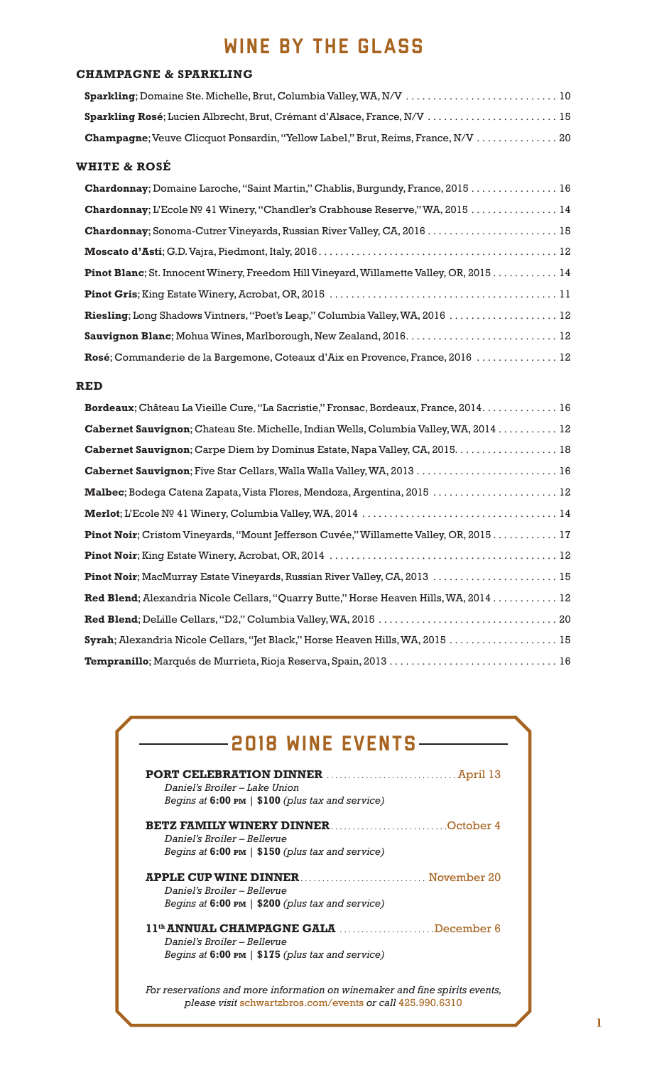# WINE BY THE GLASS

### **CHAMPAGNE & SPARKLING**

| <b>Sparkling</b> ; Domaine Ste. Michelle, Brut, Columbia Valley, WA, N/V $\ldots \ldots \ldots \ldots \ldots \ldots \ldots \ldots \ldots \ldots \ldots$ |  |
|---------------------------------------------------------------------------------------------------------------------------------------------------------|--|
|                                                                                                                                                         |  |
| <b>Champagne</b> ; Veuve Clicquot Ponsardin, "Yellow Label," Brut, Reims, France, N/V 20                                                                |  |

#### **WHITE & ROSÉ**

| Chardonnay; Domaine Laroche, "Saint Martin," Chablis, Burgundy, France, 2015 16         |  |
|-----------------------------------------------------------------------------------------|--|
| Chardonnay; L'Ecole Nº 41 Winery, "Chandler's Crabhouse Reserve," WA, 2015 14           |  |
| Chardonnay; Sonoma-Cutrer Vineyards, Russian River Valley, CA, 2016 15                  |  |
|                                                                                         |  |
| Pinot Blanc; St. Innocent Winery, Freedom Hill Vineyard, Willamette Valley, OR, 2015 14 |  |
|                                                                                         |  |
| Riesling; Long Shadows Vintners, "Poet's Leap," Columbia Valley, WA, 2016  12           |  |
| Sauvignon Blanc; Mohua Wines, Marlborough, New Zealand, 2016.  12                       |  |
| Rosé; Commanderie de la Bargemone, Coteaux d'Aix en Provence, France, 2016  12          |  |

#### **RED**

| Bordeaux; Château La Vieille Cure, "La Sacristie," Fronsac, Bordeaux, France, 2014. 16         |
|------------------------------------------------------------------------------------------------|
| Cabernet Sauvignon; Chateau Ste. Michelle, Indian Wells, Columbia Valley, WA, 2014 12          |
| Cabernet Sauvignon; Carpe Diem by Dominus Estate, Napa Valley, CA, 2015. 18                    |
| Cabernet Sauvignon; Five Star Cellars, Walla Walla Valley, WA, 2013  16                        |
| Malbec; Bodega Catena Zapata, Vista Flores, Mendoza, Argentina, 2015  12                       |
|                                                                                                |
| <b>Pinot Noir</b> ; Cristom Vineyards, "Mount Jefferson Cuvée," Willamette Valley, OR, 2015 17 |
|                                                                                                |
| Pinot Noir; MacMurray Estate Vineyards, Russian River Valley, CA, 2013  15                     |
| Red Blend; Alexandria Nicole Cellars, "Quarry Butte," Horse Heaven Hills, WA, 2014 12          |
|                                                                                                |
| Syrah; Alexandria Nicole Cellars, "Jet Black," Horse Heaven Hills, WA, 2015 15                 |
|                                                                                                |

# -2018 WINE EVENTS-

| Daniel's Broiler – Lake Union                               |
|-------------------------------------------------------------|
| Begins at 6:00 PM   \$100 (plus tax and service)            |
| <b>BETZ FAMILY WINERY DINNEROctober 4</b>                   |
| Daniel's Broiler – Bellevue                                 |
| Begins at $6:00 \text{ pm }  $ \$150 (plus tax and service) |
|                                                             |
| Daniel's Broiler – Bellevue                                 |
| Begins at $6:00 \text{ pm}$   \$200 (plus tax and service)  |
| 11 <sup>th</sup> ANNUAL CHAMPAGNE GALA December 6           |
| Daniel's Broiler – Bellevue                                 |
| Begins at $6:00 \text{ pm }  $ \$175 (plus tax and service) |
|                                                             |
|                                                             |

*For reservations and more information on winemaker and fine spirits events, please visit* schwartzbros.com/events *or call* 425.990.6310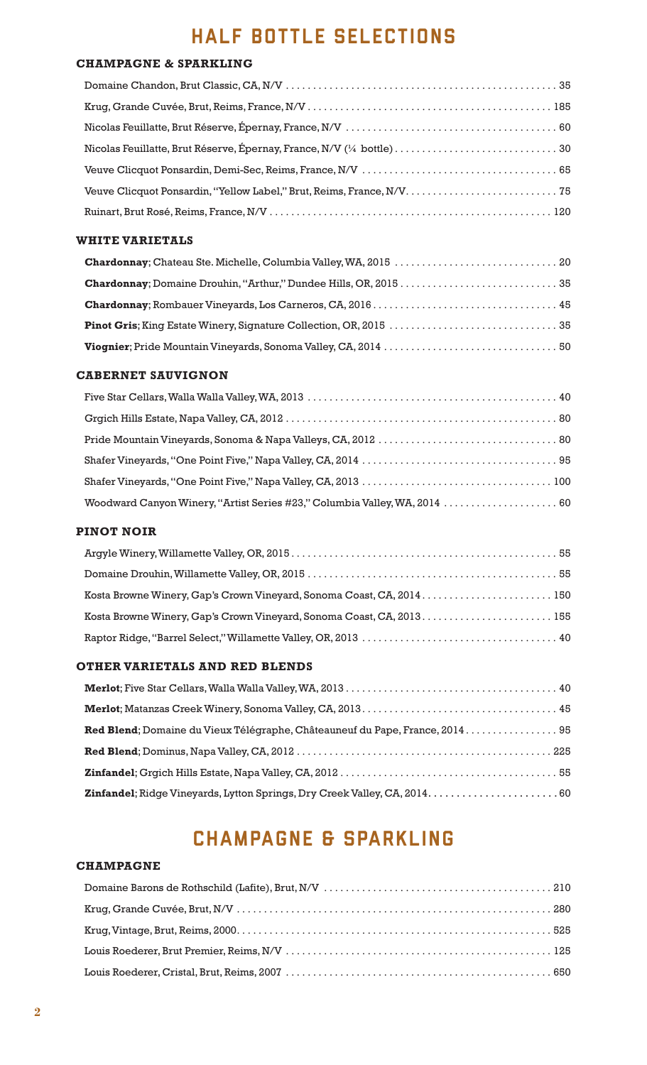# HALF BOTTLE SELECTIONS

#### **CHAMPAGNE & SPARKLING**

#### **WHITE VARIETALS**

### **CABERNET SAUVIGNON**

| Woodward Canyon Winery, "Artist Series #23," Columbia Valley, WA, 2014  60 |  |
|----------------------------------------------------------------------------|--|

### **PINOT NOIR**

| Kosta Browne Winery, Gap's Crown Vineyard, Sonoma Coast, CA, 2014 150 |  |
|-----------------------------------------------------------------------|--|
|                                                                       |  |
|                                                                       |  |

### **OTHER VARIETALS AND RED BLENDS**

# CHAMPAGNE & SPARKLINg

#### **CHAMPAGNE**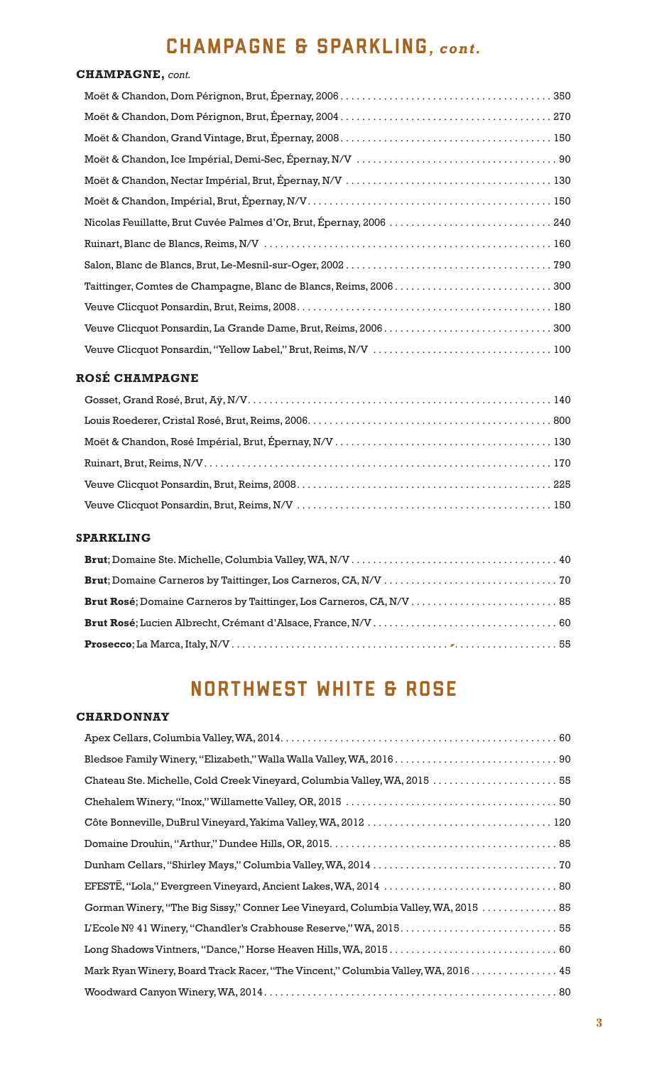# CHAMPAGNE & SPARKLINg*, cont.*

# **CHAMPAGNE,** *cont.*

### **ROSÉ CHAMPAGNE**

### **SPARKLING**

| Brut Rosé; Domaine Carneros by Taittinger, Los Carneros, CA, N/V  85 |  |
|----------------------------------------------------------------------|--|
|                                                                      |  |
|                                                                      |  |

# NORTHWEST WHITE & ROSe

### **CHARDONNAY**

| Chateau Ste. Michelle, Cold Creek Vineyard, Columbia Valley, WA, 2015  55          |
|------------------------------------------------------------------------------------|
|                                                                                    |
|                                                                                    |
|                                                                                    |
|                                                                                    |
|                                                                                    |
| Gorman Winery, "The Big Sissy," Conner Lee Vineyard, Columbia Valley, WA, 2015  85 |
|                                                                                    |
|                                                                                    |
| Mark Ryan Winery, Board Track Racer, "The Vincent," Columbia Valley, WA, 2016 45   |
|                                                                                    |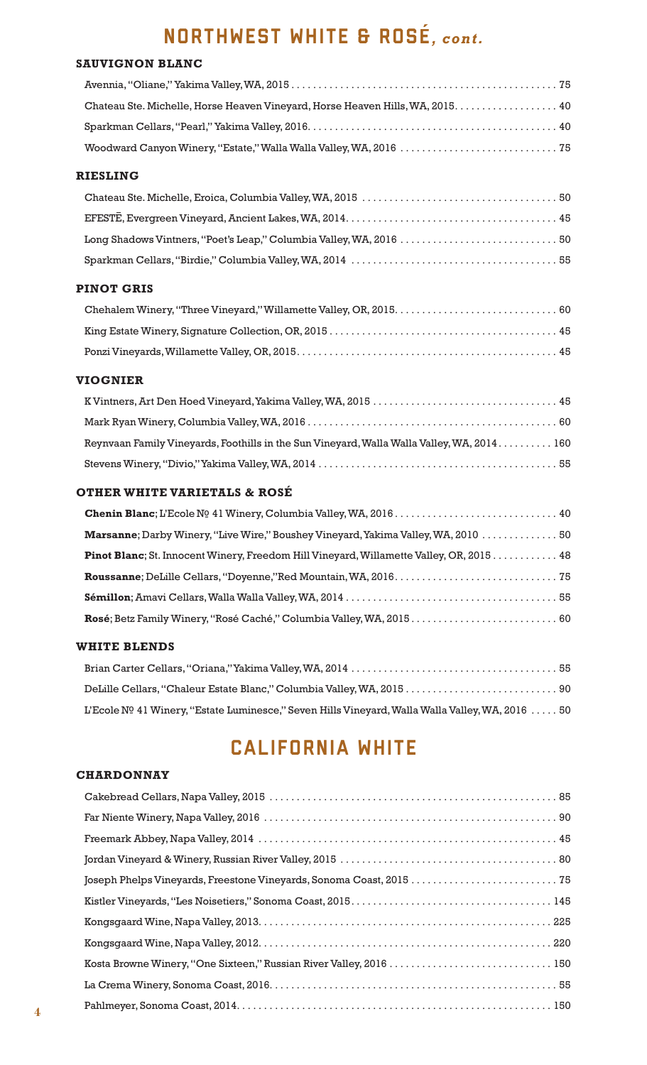# NORTHWEST WHITE & ROSE*, cont.*

#### **SAUVIGNON BLANC**

| Chateau Ste. Michelle, Horse Heaven Vineyard, Horse Heaven Hills, WA, 2015. 40 |  |
|--------------------------------------------------------------------------------|--|
|                                                                                |  |
|                                                                                |  |

# **RIESLING**

### **PINOT GRIS**

#### **VIOGNIER**

| Reynvaan Family Vineyards, Foothills in the Sun Vineyard, Walla Walla Valley, WA, 2014 160 |  |
|--------------------------------------------------------------------------------------------|--|
|                                                                                            |  |

### **OTHER WHITE VARIETALS & ROSÉ**

| Marsanne; Darby Winery, "Live Wire," Boushey Vineyard, Yakima Valley, WA, 2010  50              |  |
|-------------------------------------------------------------------------------------------------|--|
| <b>Pinot Blanc</b> ; St. Innocent Winery, Freedom Hill Vineyard, Willamette Valley, OR, 2015 48 |  |
|                                                                                                 |  |
|                                                                                                 |  |
| Rosé; Betz Family Winery, "Rosé Caché," Columbia Valley, WA, 2015 60                            |  |

#### **WHITE BLENDS**

| 05 100 L'Ecole Nº 41 Winery, ''Estate Luminesce,'' Seven Hills Vineyard, Walla Walla Valley, WA, 2016 |  |
|-------------------------------------------------------------------------------------------------------|--|

# CALIFORNIA WHITE

#### **CHARDONNAY**

| Joseph Phelps Vineyards, Freestone Vineyards, Sonoma Coast, 2015  75 |
|----------------------------------------------------------------------|
|                                                                      |
|                                                                      |
|                                                                      |
| Kosta Browne Winery, "One Sixteen," Russian River Valley, 2016  150  |
|                                                                      |
|                                                                      |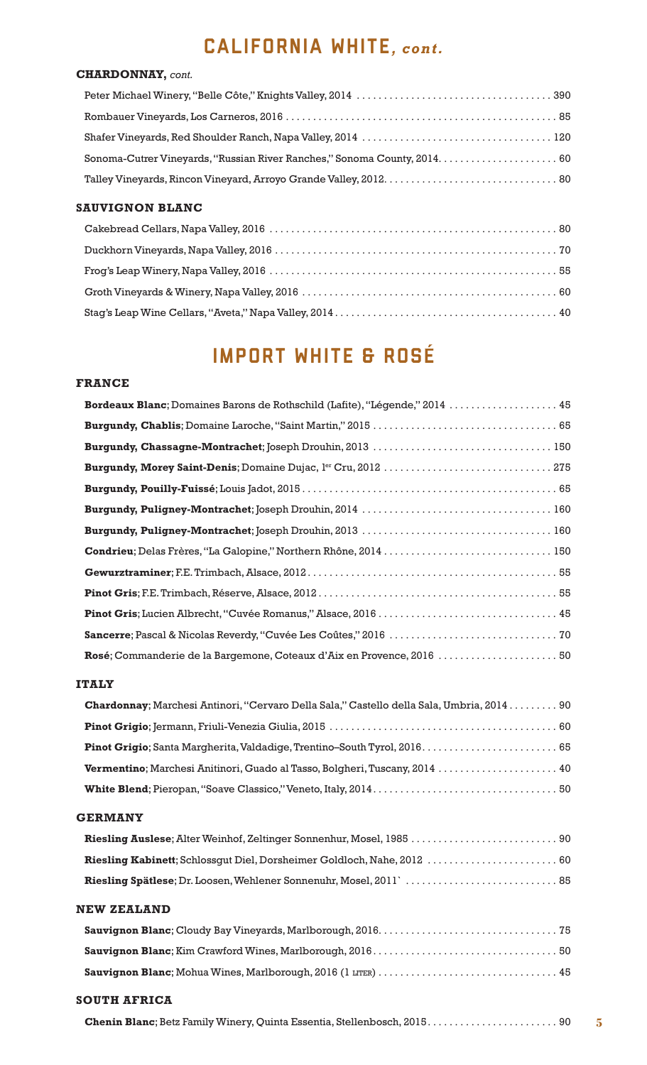# CALIFORNIA WHITE*, cont.*

### **CHARDONNAY,** *cont.*

### **SAUVIGNON BLANC**

# IMPORT WHITE & ROSÉ

#### **FRANCE**

| Bordeaux Blanc; Domaines Barons de Rothschild (Lafite), "Légende," 2014  45 |
|-----------------------------------------------------------------------------|
|                                                                             |
|                                                                             |
|                                                                             |
|                                                                             |
|                                                                             |
|                                                                             |
| Condrieu; Delas Frères, "La Galopine," Northern Rhône, 2014 150             |
|                                                                             |
|                                                                             |
|                                                                             |
|                                                                             |
| Rosé; Commanderie de la Bargemone, Coteaux d'Aix en Provence, 2016  50      |

### **ITALY**

| Chardonnay; Marchesi Antinori, "Cervaro Della Sala," Castello della Sala, Umbria, 2014 90 |
|-------------------------------------------------------------------------------------------|
|                                                                                           |
|                                                                                           |
|                                                                                           |
|                                                                                           |
|                                                                                           |

#### **GERMANY**

# **NEW ZEALAND**

#### **SOUTH AFRICA**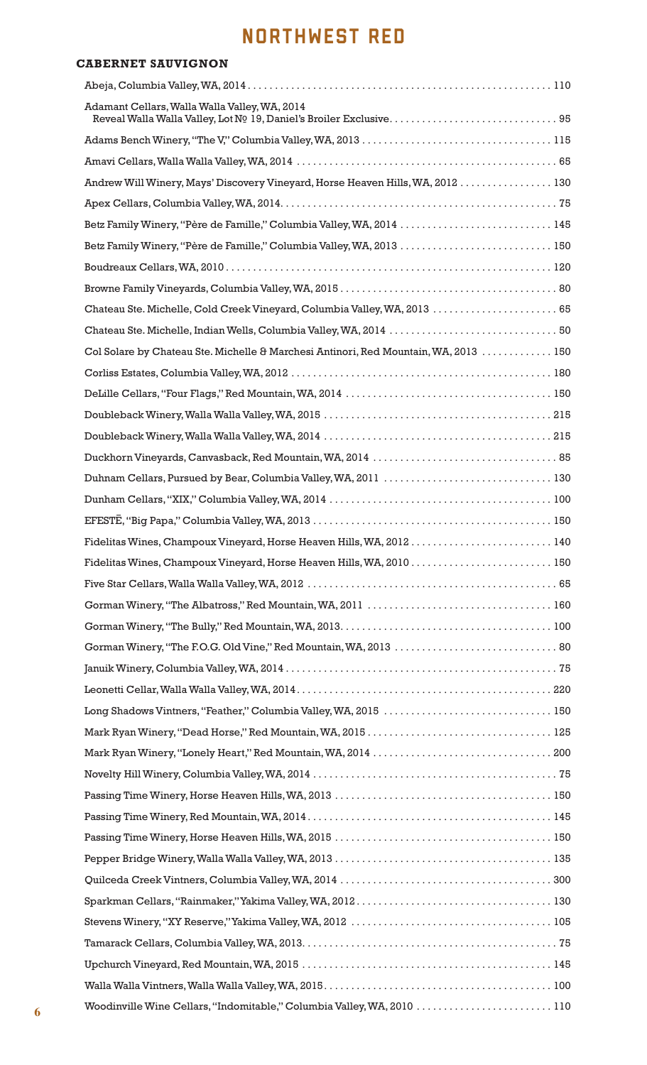# NORTHWEST RED

| <b>CABERNET SAUVIGNON</b>                                                            |     |
|--------------------------------------------------------------------------------------|-----|
|                                                                                      |     |
| Adamant Cellars, Walla Walla Valley, WA, 2014                                        |     |
|                                                                                      |     |
|                                                                                      |     |
| Andrew Will Winery, Mays' Discovery Vineyard, Horse Heaven Hills, WA, 2012  130      |     |
|                                                                                      |     |
| Betz Family Winery, "Père de Famille," Columbia Valley, WA, 2014  145                |     |
| Betz Family Winery, "Père de Famille," Columbia Valley, WA, 2013  150                |     |
|                                                                                      |     |
|                                                                                      |     |
| Chateau Ste. Michelle, Cold Creek Vineyard, Columbia Valley, WA, 2013  65            |     |
|                                                                                      |     |
| Col Solare by Chateau Ste. Michelle & Marchesi Antinori, Red Mountain, WA, 2013  150 |     |
|                                                                                      |     |
|                                                                                      |     |
|                                                                                      |     |
|                                                                                      |     |
|                                                                                      |     |
|                                                                                      |     |
|                                                                                      |     |
|                                                                                      |     |
| Fidelitas Wines, Champoux Vineyard, Horse Heaven Hills, WA, 2012140                  |     |
| Fidelitas Wines, Champoux Vineyard, Horse Heaven Hills, WA, 2010 150                 |     |
|                                                                                      |     |
|                                                                                      |     |
|                                                                                      |     |
|                                                                                      |     |
|                                                                                      |     |
|                                                                                      |     |
| Long Shadows Vintners, "Feather," Columbia Valley, WA, 2015  150                     |     |
|                                                                                      |     |
|                                                                                      |     |
|                                                                                      |     |
|                                                                                      |     |
|                                                                                      |     |
|                                                                                      |     |
|                                                                                      |     |
|                                                                                      |     |
|                                                                                      |     |
|                                                                                      |     |
|                                                                                      |     |
|                                                                                      |     |
|                                                                                      |     |
| Woodinville Wine Cellars "Indomitable" Columbia Valley WA 2010                       | 110 |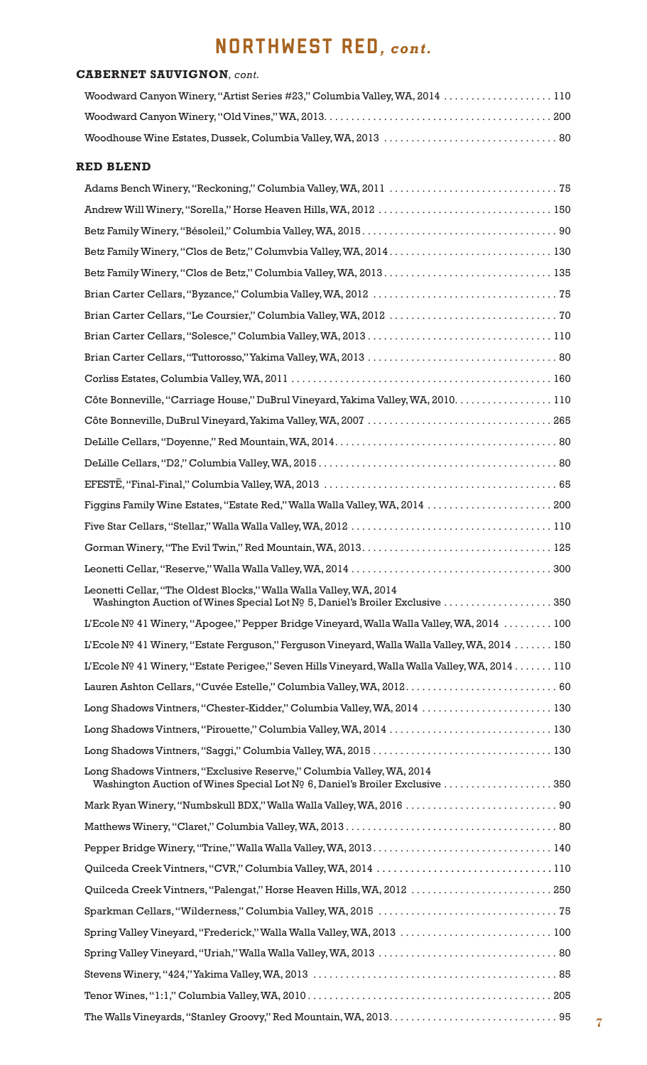# NORTHWEST RED*, cont.*

### **CABERNET SAUVIGNON***, cont.*

| Woodward Canyon Winery, "Artist Series #23," Columbia Valley, WA, 2014 110 |  |
|----------------------------------------------------------------------------|--|
|                                                                            |  |
|                                                                            |  |

#### **RED BLEND**

| Côte Bonneville, "Carriage House," DuBrul Vineyard, Yakima Valley, WA, 2010. 110                                                                      |  |
|-------------------------------------------------------------------------------------------------------------------------------------------------------|--|
|                                                                                                                                                       |  |
|                                                                                                                                                       |  |
|                                                                                                                                                       |  |
|                                                                                                                                                       |  |
| Figgins Family Wine Estates, "Estate Red," Walla Walla Valley, WA, 2014  200                                                                          |  |
|                                                                                                                                                       |  |
|                                                                                                                                                       |  |
|                                                                                                                                                       |  |
| Leonetti Cellar, "The Oldest Blocks," Walla Walla Valley, WA, 2014<br>Washington Auction of Wines Special Lot Nº 5, Daniel's Broiler Exclusive 350    |  |
| L'Ecole Nº 41 Winery, "Apogee," Pepper Bridge Vineyard, Walla Walla Valley, WA, 2014 100                                                              |  |
| L'Ecole Nº 41 Winery, "Estate Ferguson," Ferguson Vineyard, Walla Walla Valley, WA, 2014 150                                                          |  |
| L'Ecole Nº 41 Winery, "Estate Perigee," Seven Hills Vineyard, Walla Walla Valley, WA, 2014 110                                                        |  |
| Lauren Ashton Cellars, "Cuvée Estelle," Columbia Valley, WA, 2012.  60                                                                                |  |
| Long Shadows Vintners, "Chester-Kidder," Columbia Valley, WA, 2014  130                                                                               |  |
| Long Shadows Vintners, "Pirouette," Columbia Valley, WA, 2014  130                                                                                    |  |
|                                                                                                                                                       |  |
| Long Shadows Vintners, "Exclusive Reserve," Columbia Valley, WA, 2014<br>Washington Auction of Wines Special Lot Nº 6, Daniel's Broiler Exclusive 350 |  |
| Mark Ryan Winery, "Numbskull BDX," Walla Walla Valley, WA, 2016  90                                                                                   |  |
|                                                                                                                                                       |  |
|                                                                                                                                                       |  |
| Quilceda Creek Vintners, "CVR," Columbia Valley, WA, 2014 110                                                                                         |  |
| Quilceda Creek Vintners, "Palengat," Horse Heaven Hills, WA, 2012  250                                                                                |  |
|                                                                                                                                                       |  |
| Spring Valley Vineyard, "Frederick," Walla Walla Valley, WA, 2013  100                                                                                |  |
|                                                                                                                                                       |  |
|                                                                                                                                                       |  |
|                                                                                                                                                       |  |
|                                                                                                                                                       |  |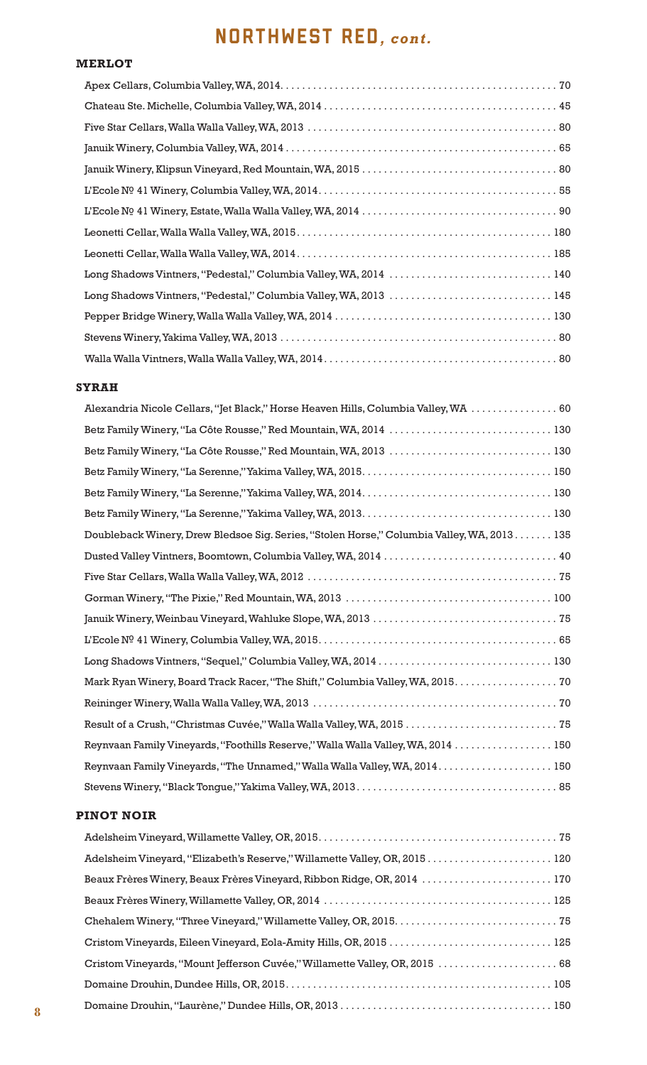# NORTHWEST RED*, cont.*

#### **MERLOT**

| Long Shadows Vintners, "Pedestal," Columbia Valley, WA, 2014  140 |
|-------------------------------------------------------------------|
| Long Shadows Vintners, "Pedestal," Columbia Valley, WA, 2013  145 |
|                                                                   |
|                                                                   |
|                                                                   |

#### **SYRAH**

| Alexandria Nicole Cellars, "Jet Black," Horse Heaven Hills, Columbia Valley, WA  60        |
|--------------------------------------------------------------------------------------------|
| Betz Family Winery, "La Côte Rousse," Red Mountain, WA, 2014  130                          |
| Betz Family Winery, "La Côte Rousse," Red Mountain, WA, 2013  130                          |
|                                                                                            |
|                                                                                            |
|                                                                                            |
| Doubleback Winery, Drew Bledsoe Sig. Series, "Stolen Horse," Columbia Valley, WA, 2013 135 |
|                                                                                            |
|                                                                                            |
|                                                                                            |
|                                                                                            |
|                                                                                            |
| Long Shadows Vintners, "Sequel," Columbia Valley, WA, 2014  130                            |
| Mark Ryan Winery, Board Track Racer, "The Shift," Columbia Valley, WA, 2015. 70            |
|                                                                                            |
| Result of a Crush, "Christmas Cuvée," Walla Walla Valley, WA, 2015  75                     |
| Reynvaan Family Vineyards, "Foothills Reserve," Walla Walla Valley, WA, 2014  150          |
| Reynvaan Family Vineyards, "The Unnamed," Walla Walla Valley, WA, 2014.  150               |
|                                                                                            |

### **PINOT NOIR**

| Adelsheim Vineyard, "Elizabeth's Reserve," Willamette Valley, OR, 2015 120  |  |
|-----------------------------------------------------------------------------|--|
| Beaux Frères Winery, Beaux Frères Vineyard, Ribbon Ridge, OR, 2014  170     |  |
|                                                                             |  |
|                                                                             |  |
| Cristom Vineyards, Eileen Vineyard, Eola-Amity Hills, OR, 2015  125         |  |
| Cristom Vineyards, "Mount Jefferson Cuvée," Willamette Valley, OR, 2015  68 |  |
|                                                                             |  |
|                                                                             |  |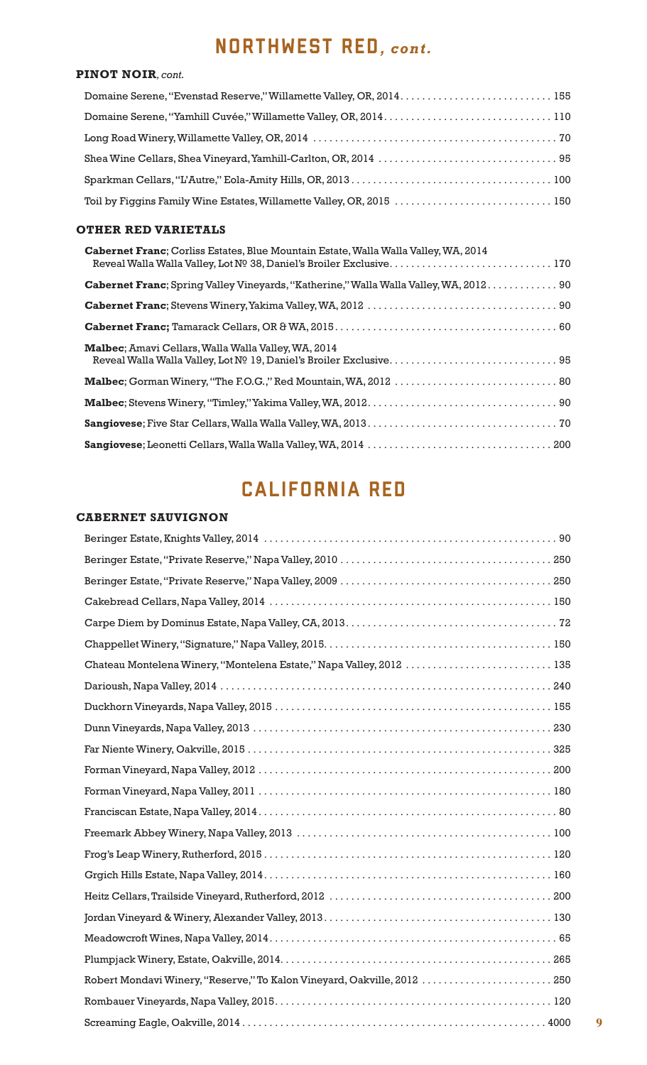# NORTHWEST RED*, cont.*

### **PINOT NOIR***, cont.*

| Domaine Serene, "Evenstad Reserve," Willamette Valley, OR, 2014.  155 |  |
|-----------------------------------------------------------------------|--|
|                                                                       |  |
|                                                                       |  |
|                                                                       |  |
|                                                                       |  |
| Toil by Figgins Family Wine Estates, Willamette Valley, OR, 2015  150 |  |

### **OTHER RED VARIETALS**

| Cabernet Franc; Corliss Estates, Blue Mountain Estate, Walla Walla Valley, WA, 2014           |
|-----------------------------------------------------------------------------------------------|
| <b>Cabernet Franc</b> ; Spring Valley Vineyards, "Katherine," Walla Walla Valley, WA, 2012 90 |
|                                                                                               |
|                                                                                               |
| <b>Malbec:</b> Amavi Cellars, Walla Walla Valley, WA, 2014                                    |
|                                                                                               |
|                                                                                               |
|                                                                                               |
|                                                                                               |

# CALIFORNIA RED

# **CABERNET SAUVIGNON**

| Chateau Montelena Winery, "Montelena Estate," Napa Valley, 2012  135     |  |
|--------------------------------------------------------------------------|--|
|                                                                          |  |
|                                                                          |  |
|                                                                          |  |
|                                                                          |  |
|                                                                          |  |
|                                                                          |  |
|                                                                          |  |
|                                                                          |  |
|                                                                          |  |
|                                                                          |  |
|                                                                          |  |
|                                                                          |  |
|                                                                          |  |
|                                                                          |  |
| Robert Mondavi Winery, "Reserve," To Kalon Vineyard, Oakville, 2012  250 |  |
|                                                                          |  |
|                                                                          |  |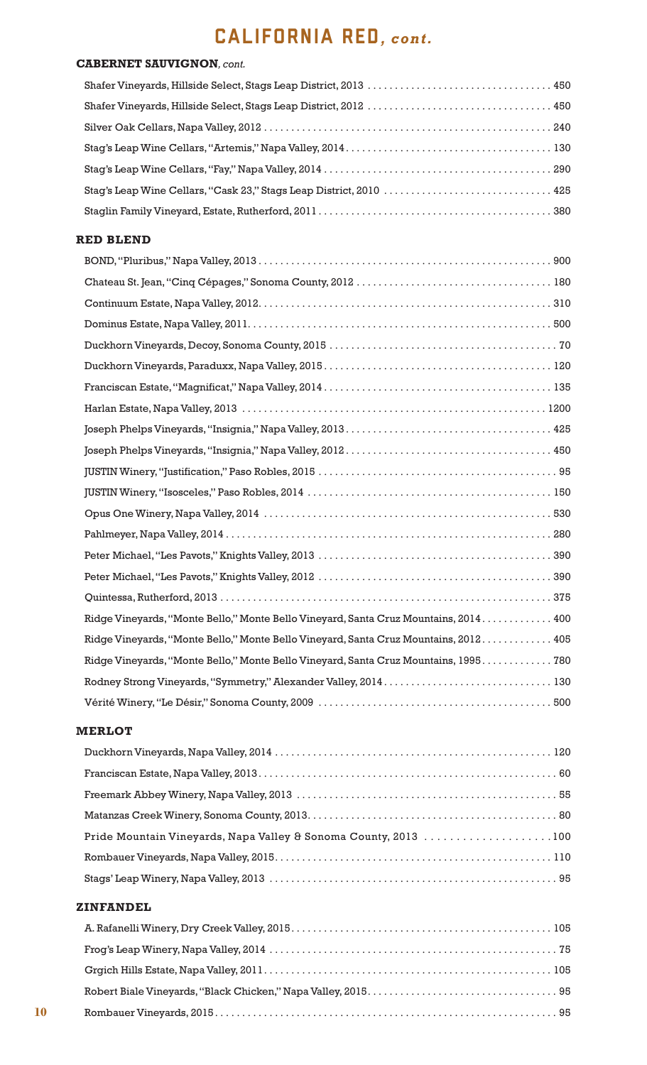# CALIFORNIA RED*, cont.*

### **CABERNET SAUVIGNON***, cont.*

### **RED BLEND**

| Ridge Vineyards, "Monte Bello," Monte Bello Vineyard, Santa Cruz Mountains, 2014 400 |
|--------------------------------------------------------------------------------------|
| Ridge Vineyards, "Monte Bello," Monte Bello Vineyard, Santa Cruz Mountains, 2012 405 |
| Ridge Vineyards, "Monte Bello," Monte Bello Vineyard, Santa Cruz Mountains, 1995 780 |
|                                                                                      |
|                                                                                      |
|                                                                                      |

#### **MERLOT**

| Pride Mountain Vineyards, Napa Valley & Sonoma County, 2013 100 |  |
|-----------------------------------------------------------------|--|
|                                                                 |  |
|                                                                 |  |

### **ZINFANDEL**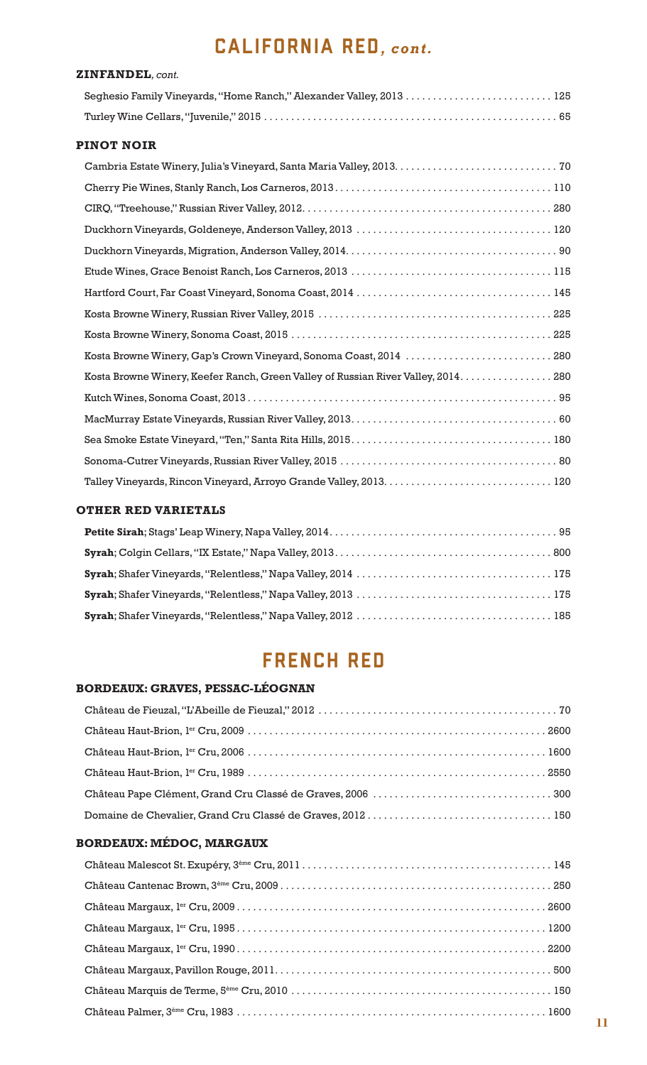# CALIFORNIA RED*, cont.*

| <b>ZINFANDEL</b> , cont.                                             |  |
|----------------------------------------------------------------------|--|
| Seghesio Family Vineyards, "Home Ranch," Alexander Valley, 2013  125 |  |
|                                                                      |  |

### **PINOT NOIR**

| Kosta Browne Winery, Gap's Crown Vineyard, Sonoma Coast, 2014  280                 |
|------------------------------------------------------------------------------------|
| Kosta Browne Winery, Keefer Ranch, Green Valley of Russian River Valley, 2014. 280 |
|                                                                                    |
|                                                                                    |
|                                                                                    |
|                                                                                    |
|                                                                                    |

# **OTHER RED VARIETALS**

# FRENCH RED

# **BORDEAUX: GRAVES, PESSAC-LÉOGNAN**

# **BORDEAUX: MÉDOC, MARGAUX**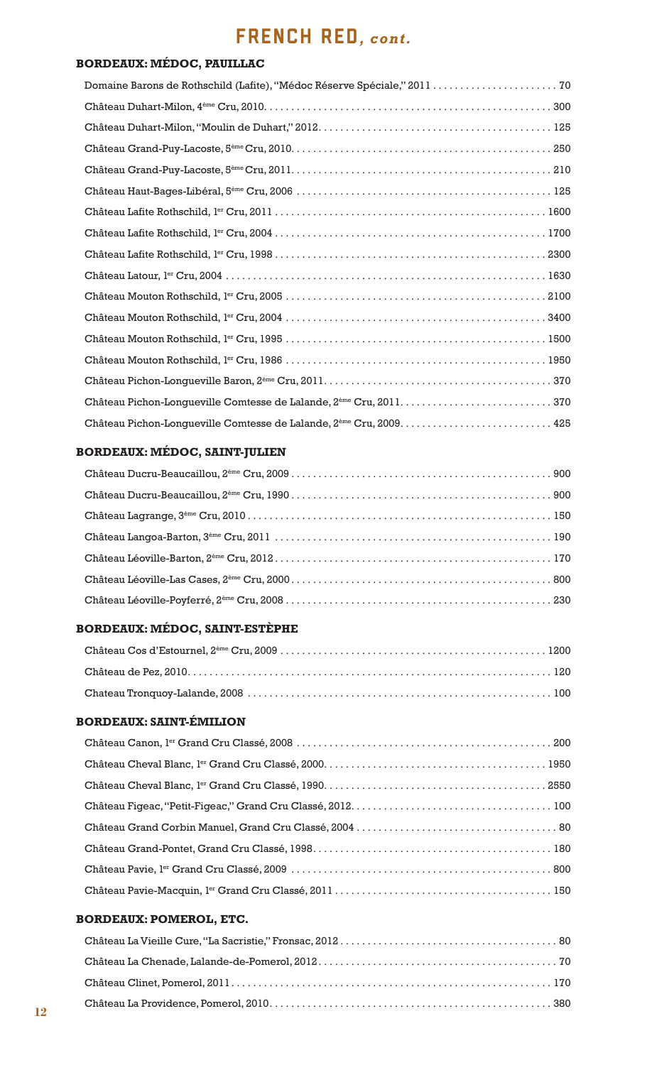# FRENCH RED*, cont.*

### **BORDEAUX: MÉDOC, PAUILLAC**

### **BORDEAUX: MÉDOC, SAINT-JULIEN**

### **BORDEAUX: MÉDOC, SAINT-ESTÈPHE**

### **BORDEAUX: SAINT-ÉMILION**

### **BORDEAUX: POMEROL, ETC.**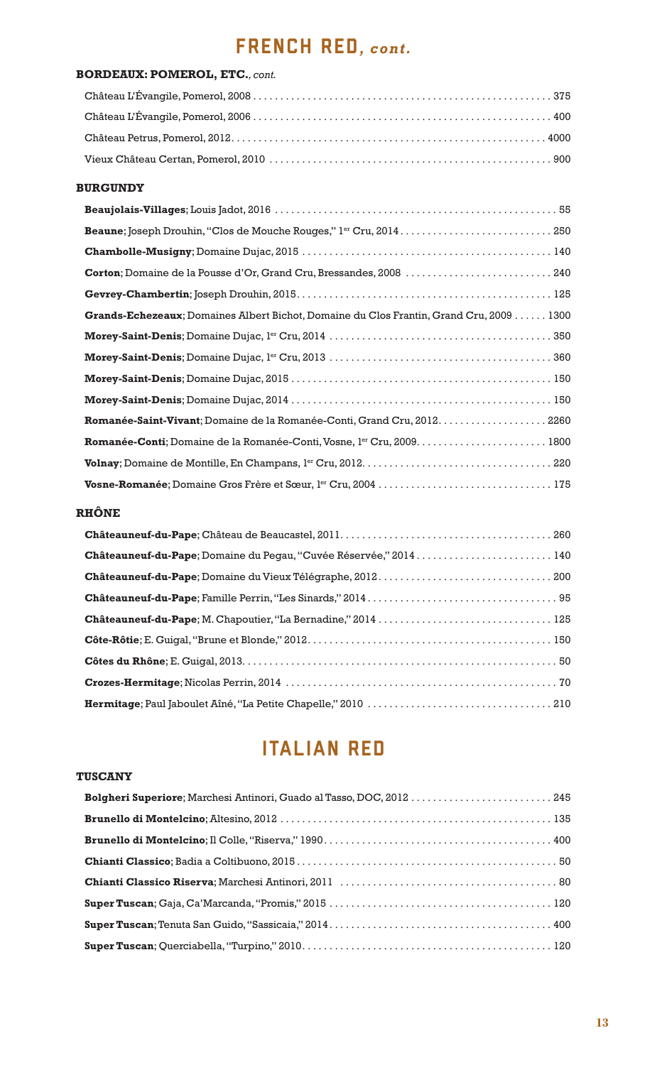# FRENCH RED*, cont.*

# **BORDEAUX: POMEROL, ETC.***, cont.* Château L'Évangile, Pomerol, 2008 . . . . . . . . . . . . . . . . . . . . . . . . . . . . . . . . . . . . . . . . . . . . . . . . . . . . . . . 375 Château L'Évangile, Pomerol, 2006 . . . . . . . . . . . . . . . . . . . . . . . . . . . . . . . . . . . . . . . . . . . . . . . . . . . . . . . 400 Château Petrus, Pomerol, 2012 . . . . . . . . . . . . . . . . . . . . . . . . . . . . . . . . . . . . . . . . . . . . . . . . . . . . . . . . . . 4000 Vieux Château Certan, Pomerol, 2010 . . . . . . . . . . . . . . . . . . . . . . . . . . . . . . . . . . . . . . . . . . . . . . . . . . . . 900

#### **BURGUNDY**

| Beaune; Joseph Drouhin, "Clos de Mouche Rouges," l <sup>er</sup> Cru, 2014 250          |
|-----------------------------------------------------------------------------------------|
|                                                                                         |
| Corton; Domaine de la Pousse d'Or, Grand Cru, Bressandes, 2008  240                     |
|                                                                                         |
| Grands-Echezeaux; Domaines Albert Bichot, Domaine du Clos Frantin, Grand Cru, 2009 1300 |
|                                                                                         |
|                                                                                         |
|                                                                                         |
|                                                                                         |
| Romanée-Saint-Vivant; Domaine de la Romanée-Conti, Grand Cru, 2012. 2260                |
|                                                                                         |
|                                                                                         |
|                                                                                         |

### **RHÔNE**

| Châteauneuf-du-Pape; Domaine du Pegau, "Cuvée Réservée," 2014 140 |  |
|-------------------------------------------------------------------|--|
|                                                                   |  |
|                                                                   |  |
|                                                                   |  |
|                                                                   |  |
|                                                                   |  |
|                                                                   |  |
|                                                                   |  |

# ITALIAN RED

#### **TUSCANY**

| Bolgheri Superiore; Marchesi Antinori, Guado al Tasso, DOC, 2012  245 |  |
|-----------------------------------------------------------------------|--|
|                                                                       |  |
|                                                                       |  |
|                                                                       |  |
|                                                                       |  |
|                                                                       |  |
|                                                                       |  |
|                                                                       |  |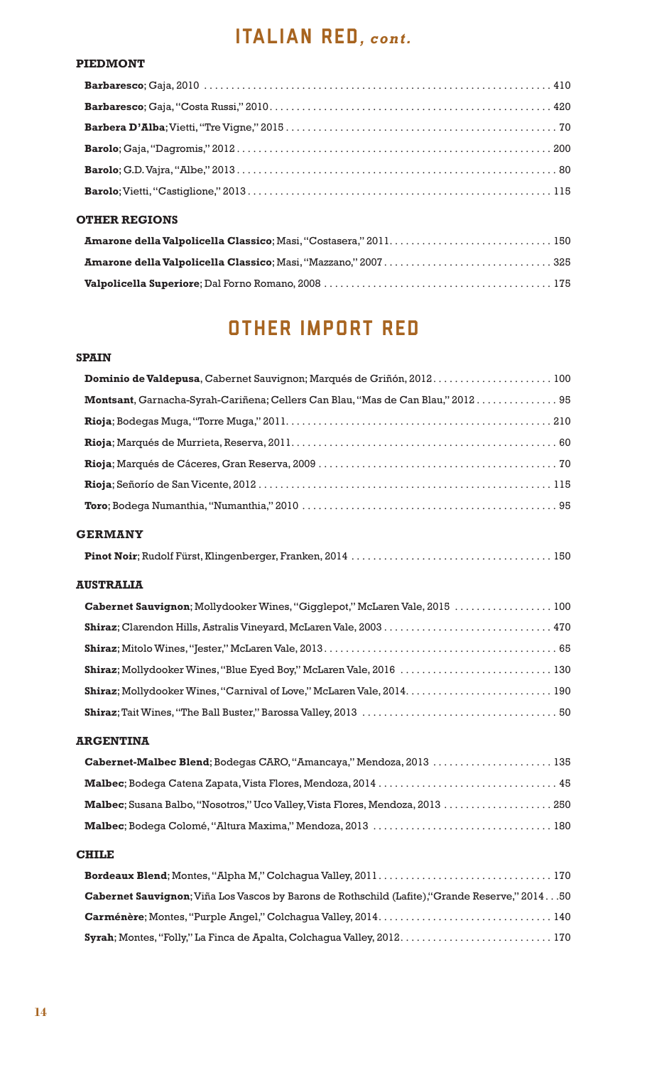# italian RED*, cont.*

#### **PIEDMONT**

| <b>OTHER REGIONS</b> |  |
|----------------------|--|

# OTHER IMPORT RED

### **SPAIN**

| Dominio de Valdepusa, Cabernet Sauvignon; Marqués de Griñón, 2012.  100         |  |
|---------------------------------------------------------------------------------|--|
| Montsant, Garnacha-Syrah-Cariñena; Cellers Can Blau, "Mas de Can Blau," 2012 95 |  |
|                                                                                 |  |
|                                                                                 |  |
|                                                                                 |  |
|                                                                                 |  |
|                                                                                 |  |
| <b>GERMANY</b>                                                                  |  |
|                                                                                 |  |

### **AUSTRALIA**

| Cabernet Sauvignon; Mollydooker Wines, "Gigglepot," McLaren Vale, 2015  100 |  |
|-----------------------------------------------------------------------------|--|
|                                                                             |  |
|                                                                             |  |
|                                                                             |  |
|                                                                             |  |
|                                                                             |  |

### **ARGENTINA**

| Cabernet-Malbec Blend; Bodegas CARO, "Amancaya," Mendoza, 2013  135                   |  |
|---------------------------------------------------------------------------------------|--|
|                                                                                       |  |
| <b>Malbec</b> ; Susana Balbo, "Nosotros," Uco Valley, Vista Flores, Mendoza, 2013 250 |  |
|                                                                                       |  |

### **CHILE**

| Cabernet Sauvignon; Viña Los Vascos by Barons de Rothschild (Lafite), "Grande Reserve," 201450 |  |
|------------------------------------------------------------------------------------------------|--|
|                                                                                                |  |
|                                                                                                |  |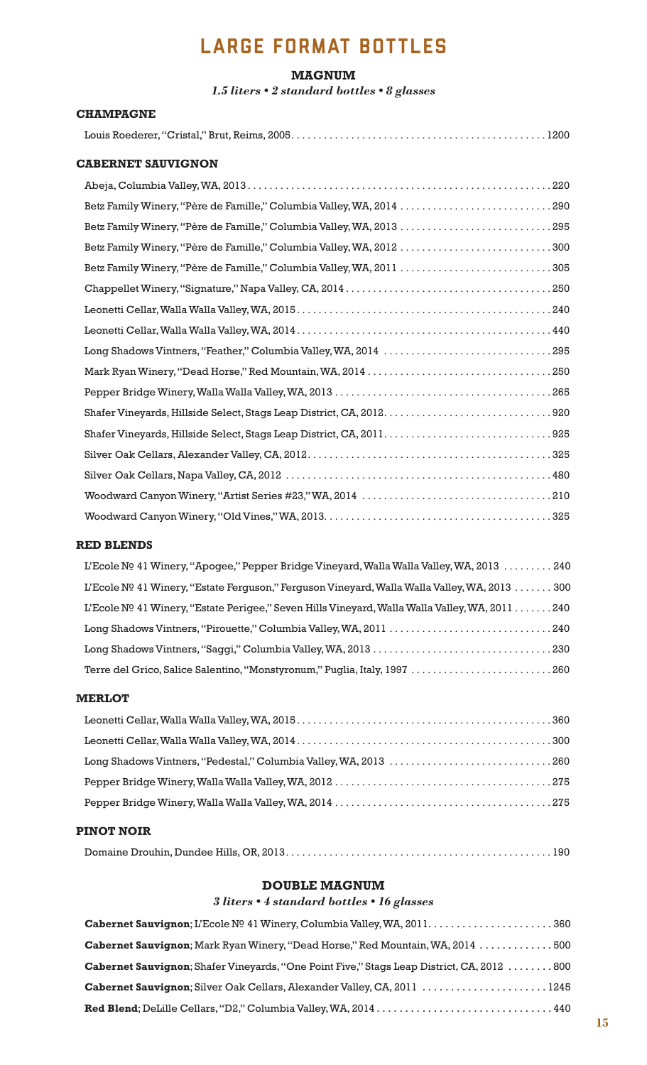# LARGE FORMAT BOTTLES

#### **MAGNUM**

*1.5 liters • 2 standard bottles • 8 glasses*

#### **CHAMPAGNE**

|--|--|--|

#### **CABERNET SAUVIGNON**

| Betz Family Winery, "Père de Famille," Columbia Valley, WA, 2014 290 |
|----------------------------------------------------------------------|
| Betz Family Winery, "Père de Famille," Columbia Valley, WA, 2013 295 |
| Betz Family Winery, "Père de Famille," Columbia Valley, WA, 2012 300 |
| Betz Family Winery, "Père de Famille," Columbia Valley, WA, 2011 305 |
|                                                                      |
|                                                                      |
|                                                                      |
|                                                                      |
|                                                                      |
|                                                                      |
|                                                                      |
|                                                                      |
|                                                                      |
|                                                                      |
|                                                                      |
|                                                                      |

### **RED BLENDS**

| L'Ecole Nº 41 Winery, "Apogee," Pepper Bridge Vineyard, Walla Walla Valley, WA, 2013  240      |
|------------------------------------------------------------------------------------------------|
| L'Ecole Nº 41 Winery, "Estate Ferguson," Ferguson Vineyard, Walla Walla Valley, WA, 2013 300   |
| L'Ecole Nº 41 Winery, "Estate Perigee," Seven Hills Vineyard, Walla Walla Valley, WA, 2011 240 |
|                                                                                                |
|                                                                                                |
| Terre del Grico, Salice Salentino, "Monstyronum," Puglia, Italy, 1997 260                      |

#### **MERLOT**

### **PINOT NOIR**

|--|--|--|

### **DOUBLE MAGNUM**

### *3 liters • 4 standard bottles • 16 glasses*

| <b>Cabernet Sauvignon</b> ; Mark Ryan Winery, "Dead Horse," Red Mountain, WA, 2014 500            |  |
|---------------------------------------------------------------------------------------------------|--|
| <b>Cabernet Sauvignon</b> ; Shafer Vineyards, "One Point Five," Stags Leap District, CA, 2012 800 |  |
| Cabernet Sauvignon; Silver Oak Cellars, Alexander Valley, CA, 2011 1245                           |  |
|                                                                                                   |  |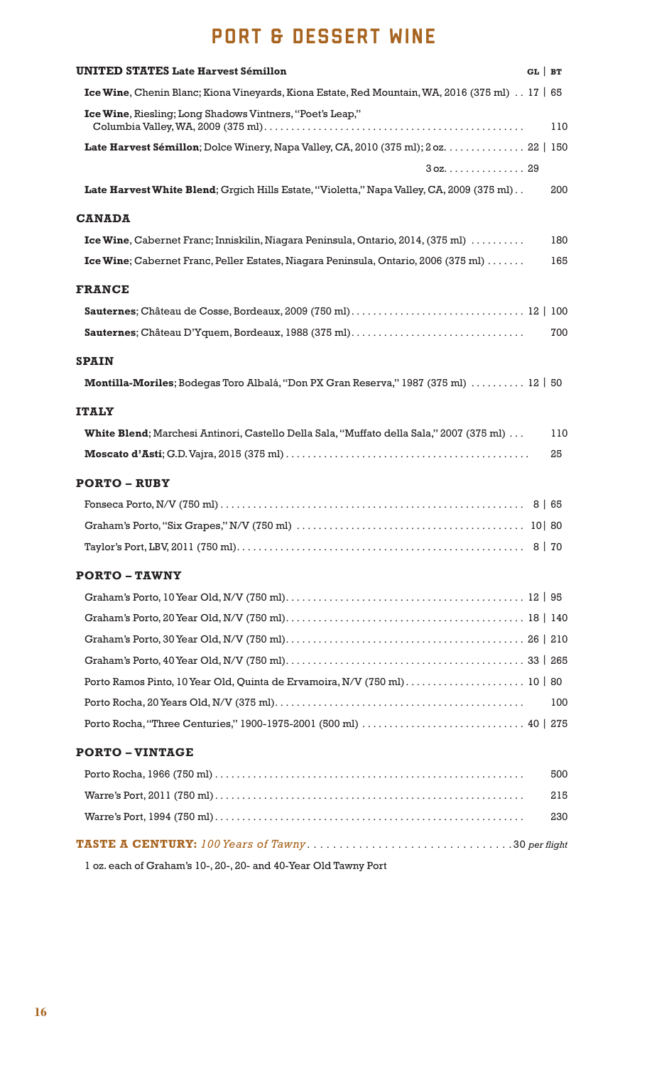# PORT & DESSERT WINE

| <b>UNITED STATES Late Harvest Sémillon</b>                                                                  | $GL$ BT |     |
|-------------------------------------------------------------------------------------------------------------|---------|-----|
| Ice Wine, Chenin Blanc; Kiona Vineyards, Kiona Estate, Red Mountain, WA, 2016 (375 ml) $\therefore$ 17   65 |         |     |
| Ice Wine, Riesling; Long Shadows Vintners, "Poet's Leap,"                                                   |         | 110 |
| Late Harvest Sémillon; Dolce Winery, Napa Valley, CA, 2010 (375 ml); 2 oz. 22   150                         |         |     |
|                                                                                                             |         |     |
| Late Harvest White Blend; Grgich Hills Estate, "Violetta," Napa Valley, CA, 2009 (375 ml)                   |         | 200 |
| <b>CANADA</b>                                                                                               |         |     |
| Ice Wine, Cabernet Franc; Inniskilin, Niagara Peninsula, Ontario, 2014, (375 ml)                            |         | 180 |
| Ice Wine; Cabernet Franc, Peller Estates, Niagara Peninsula, Ontario, 2006 (375 ml)                         |         | 165 |
| <b>FRANCE</b>                                                                                               |         |     |
|                                                                                                             |         |     |
|                                                                                                             |         | 700 |
| <b>SPAIN</b>                                                                                                |         |     |
| Montilla-Moriles; Bodegas Toro Albalá, "Don PX Gran Reserva," 1987 (375 ml)  12   50                        |         |     |
| <b>ITALY</b>                                                                                                |         |     |
| <b>White Blend</b> ; Marchesi Antinori, Castello Della Sala, "Muffato della Sala," 2007 (375 ml)            |         | 110 |
|                                                                                                             |         | 25  |
| <b>PORTO – RUBY</b>                                                                                         |         |     |
|                                                                                                             |         |     |
|                                                                                                             | 10 80   |     |
|                                                                                                             |         |     |
| <b>PORTO - TAWNY</b>                                                                                        |         |     |
|                                                                                                             |         |     |
|                                                                                                             |         |     |
|                                                                                                             |         |     |
|                                                                                                             |         |     |
|                                                                                                             |         |     |
|                                                                                                             |         | 100 |
|                                                                                                             |         |     |
| <b>PORTO-VINTAGE</b>                                                                                        |         |     |
|                                                                                                             |         | 500 |
|                                                                                                             |         | 215 |
|                                                                                                             |         | 230 |
|                                                                                                             |         |     |
| 1 oz. each of Graham's 10-, 20-, 20- and 40-Year Old Tawny Port                                             |         |     |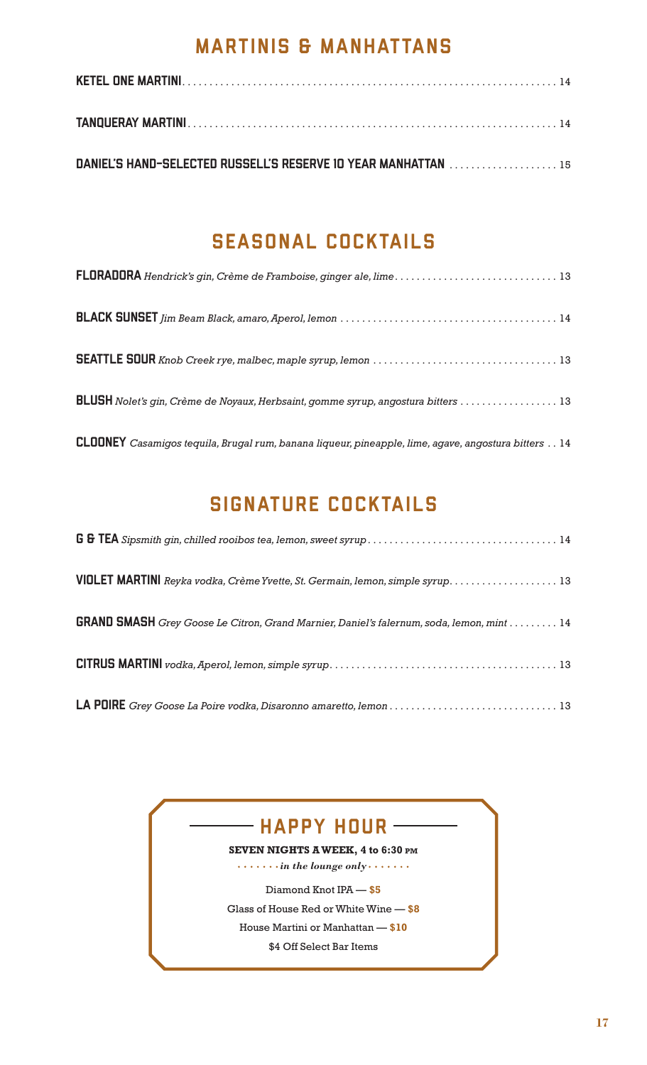# MARTINIS & MANHATTANS

| DANIEL'S HAND-SELECTED RUSSELL'S RESERVE 10 YEAR MANHATTAN  15 |  |
|----------------------------------------------------------------|--|

# SEASONAL COCKTAILS

| FLORADORA Hendrick's gin, Crème de Framboise, ginger ale, lime 13                                   |
|-----------------------------------------------------------------------------------------------------|
|                                                                                                     |
|                                                                                                     |
| BLUSH Nolet's gin, Crème de Noyaux, Herbsaint, gomme syrup, angostura bitters  13                   |
| CLOONEY Casamigos tequila, Brugal rum, banana liqueur, pineapple, lime, agave, angostura bitters 14 |

# SIGNATURE COCKTAILS

| VIOLET MARTINI Reyka vodka, Crème Yvette, St. Germain, lemon, simple syrup 13                   |
|-------------------------------------------------------------------------------------------------|
| <b>GRAND SMASH</b> Grey Goose Le Citron, Grand Marnier, Daniel's falernum, soda, lemon, mint 14 |
|                                                                                                 |
|                                                                                                 |

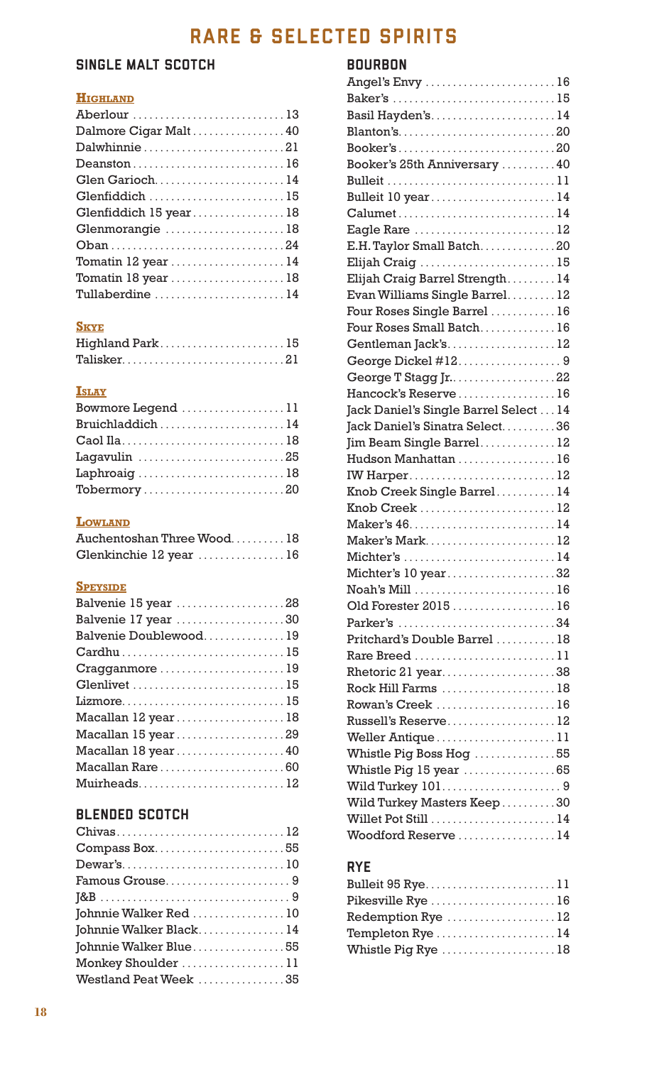# RARE & SELECTED SPIRITS

# SINGLE MALT SCOTCH

# **Highland**

| Aberlour 13                                               |
|-----------------------------------------------------------|
| Dalmore Cigar Malt40                                      |
| Dalwhinnie21                                              |
| Deanston16                                                |
| Glen Garioch14                                            |
| Glenfiddich 15                                            |
| Glenfiddich 15 year18                                     |
| Glenmorangie 18                                           |
|                                                           |
| Tomatin $12$ year $\ldots \ldots \ldots \ldots \ldots 14$ |
| Tomatin 18 year 18                                        |
| Tullaberdine 14                                           |

# **Skye**

| Highland Park15 |  |  |  |  |  |  |  |  |  |  |  |  |
|-----------------|--|--|--|--|--|--|--|--|--|--|--|--|
|                 |  |  |  |  |  |  |  |  |  |  |  |  |

### **Islay**

| Bowmore Legend 11 |  |
|-------------------|--|
| Bruichladdich14   |  |
|                   |  |
| Lagavulin 25      |  |
| Laphroaig18       |  |
| Tobermory20       |  |

### **Lowland**

| Auchentoshan Three Wood18 |  |
|---------------------------|--|
| Glenkinchie 12 year 16    |  |

# **Speyside**

| Balvenie 15 year 28   |
|-----------------------|
| Balvenie 17 year 30   |
| Balvenie Doublewood19 |
| Cardhu15              |
| Cragganmore 19        |
| Glenlivet 15          |
|                       |
| Macallan 12 year18    |
| Macallan 15 year29    |
| Macallan 18 year40    |
| Macallan Rare60       |
| Muirheads12           |

# BLENDED SCOTCH

# BOURBON

| Angel's Envy 16                                      |  |
|------------------------------------------------------|--|
| Baker's 15                                           |  |
| Basil Hayden's14                                     |  |
|                                                      |  |
|                                                      |  |
| Booker's 25th Anniversary  40                        |  |
|                                                      |  |
| Bulleit 10 year14                                    |  |
| Calumet14                                            |  |
| Eagle Rare 12                                        |  |
| E.H. Taylor Small Batch20                            |  |
| Elijah Craig 15                                      |  |
| Elijah Craig Barrel Strength14                       |  |
| Evan Williams Single Barrel12                        |  |
| Four Roses Single Barrel  16                         |  |
| Four Roses Small Batch16                             |  |
| Gentleman Jack's12                                   |  |
| George Dickel #129                                   |  |
| George T Stagg Jr22                                  |  |
| Hancock's Reserve16                                  |  |
| Jack Daniel's Single Barrel Select 14                |  |
| Jack Daniel's Sinatra Select36                       |  |
| Jim Beam Single Barrel12                             |  |
| Hudson Manhattan 16                                  |  |
| IW Harper12                                          |  |
| Knob Creek Single Barrel 14                          |  |
| Knob Creek 12                                        |  |
|                                                      |  |
| Maker's Mark12                                       |  |
| Michter's 14                                         |  |
| Michter's 10 year32                                  |  |
|                                                      |  |
| Old Forester 2015 16                                 |  |
| Parker's 34                                          |  |
| Pritchard's Double Barrel  18                        |  |
| Rare Breed 11                                        |  |
| Rhetoric 21 year38                                   |  |
| Rock Hill Farms 18                                   |  |
| Rowan's Creek 16                                     |  |
| Russell's Reserve12                                  |  |
| Weller Antique $\dots\dots\dots\dots\dots\dots\dots$ |  |
| Whistle Pig Boss Hog 55                              |  |
| Whistle Pig 15 year 65                               |  |
| Wild Turkey 1019                                     |  |
| Wild Turkey Masters Keep30                           |  |
| Willet Pot Still  14                                 |  |
| Woodford Reserve 14                                  |  |
|                                                      |  |

# RYE

| Bulleit 95 Rye11    |
|---------------------|
| Pikesville Rye  16  |
| Redemption Rye 12   |
| Templeton Rye  14   |
| Whistle Pig Rye  18 |